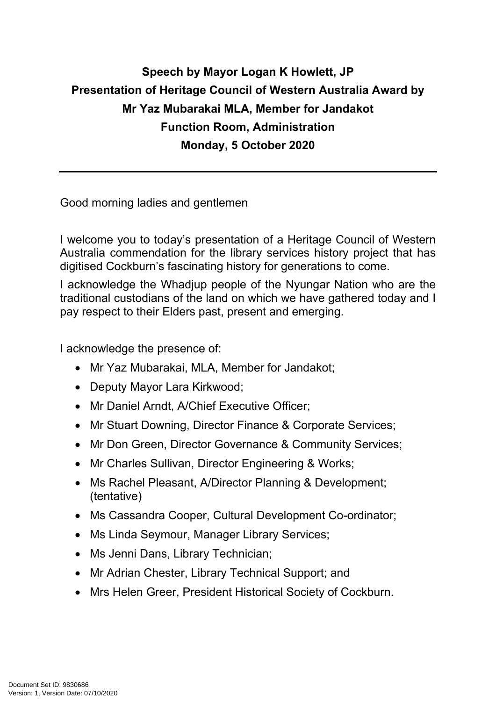## **Speech by Mayor Logan K Howlett, JP Presentation of Heritage Council of Western Australia Award by Mr Yaz Mubarakai MLA, Member for Jandakot Function Room, Administration Monday, 5 October 2020**

Good morning ladies and gentlemen

I welcome you to today's presentation of a Heritage Council of Western Australia commendation for the library services history project that has digitised Cockburn's fascinating history for generations to come.

I acknowledge the Whadjup people of the Nyungar Nation who are the traditional custodians of the land on which we have gathered today and I pay respect to their Elders past, present and emerging.

I acknowledge the presence of:

- Mr Yaz Mubarakai, MLA, Member for Jandakot;
- Deputy Mayor Lara Kirkwood;
- Mr Daniel Arndt, A/Chief Executive Officer;
- Mr Stuart Downing, Director Finance & Corporate Services;
- Mr Don Green, Director Governance & Community Services;
- Mr Charles Sullivan, Director Engineering & Works;
- Ms Rachel Pleasant, A/Director Planning & Development; (tentative)
- Ms Cassandra Cooper, Cultural Development Co-ordinator;
- Ms Linda Seymour, Manager Library Services;
- Ms Jenni Dans, Library Technician;
- Mr Adrian Chester, Library Technical Support; and
- Mrs Helen Greer, President Historical Society of Cockburn.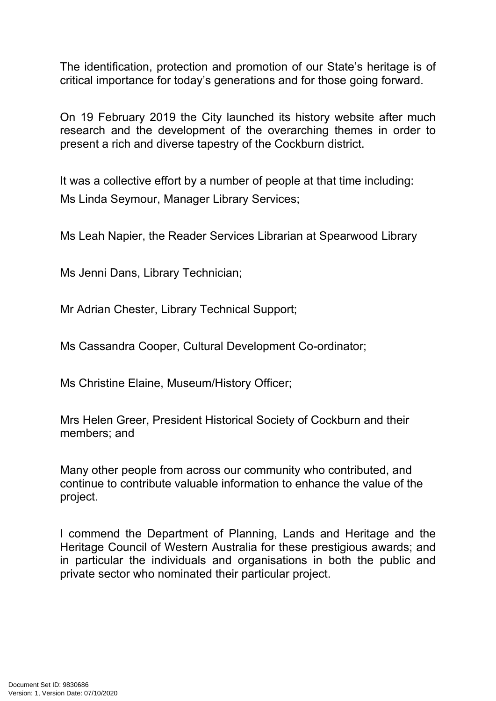The identification, protection and promotion of our State's heritage is of critical importance for today's generations and for those going forward.

On 19 February 2019 the City launched its history website after much research and the development of the overarching themes in order to present a rich and diverse tapestry of the Cockburn district.

It was a collective effort by a number of people at that time including: Ms Linda Seymour, Manager Library Services;

Ms Leah Napier, the Reader Services Librarian at Spearwood Library

Ms Jenni Dans, Library Technician;

Mr Adrian Chester, Library Technical Support;

Ms Cassandra Cooper, Cultural Development Co-ordinator;

Ms Christine Elaine, Museum/History Officer;

Mrs Helen Greer, President Historical Society of Cockburn and their members; and

Many other people from across our community who contributed, and continue to contribute valuable information to enhance the value of the project.

I commend the Department of Planning, Lands and Heritage and the Heritage Council of Western Australia for these prestigious awards; and in particular the individuals and organisations in both the public and private sector who nominated their particular project.